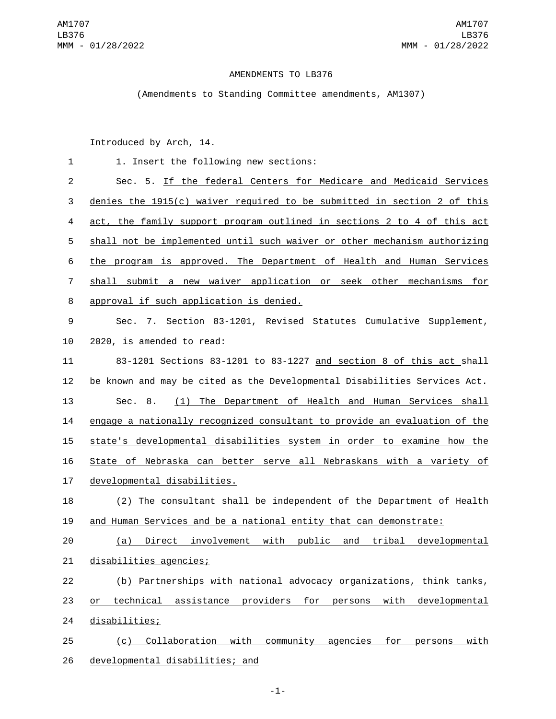## AMENDMENTS TO LB376

(Amendments to Standing Committee amendments, AM1307)

Introduced by Arch, 14.

| $\mathbf{1}$   | 1. Insert the following new sections:                                     |
|----------------|---------------------------------------------------------------------------|
| $\overline{2}$ | Sec. 5. If the federal Centers for Medicare and Medicaid Services         |
| 3              | denies the $1915(c)$ waiver required to be submitted in section 2 of this |
| 4              | act, the family support program outlined in sections 2 to 4 of this act   |
| 5              | shall not be implemented until such waiver or other mechanism authorizing |
| 6              | the program is approved. The Department of Health and Human Services      |
| $\overline{7}$ | shall submit a new waiver application or seek other mechanisms for        |
| 8              | approval if such application is denied.                                   |
| 9              | Sec. 7. Section 83-1201, Revised Statutes Cumulative Supplement,          |
| 10             | 2020, is amended to read:                                                 |
| 11             | 83-1201 Sections 83-1201 to 83-1227 and section 8 of this act shall       |
| 12             | be known and may be cited as the Developmental Disabilities Services Act. |
| 13             | (1) The Department of Health and Human Services shall<br>Sec. 8.          |
| 14             | engage a nationally recognized consultant to provide an evaluation of the |
| 15             | state's developmental disabilities system in order to examine how the     |
| 16             | State of Nebraska can better serve all Nebraskans with a variety of       |
| 17             | developmental disabilities.                                               |
| 18             | (2) The consultant shall be independent of the Department of Health       |
| 19             | and Human Services and be a national entity that can demonstrate:         |
| 20             | Direct involvement with public and tribal developmental<br>(a)            |
| 21             | disabilities agencies;                                                    |
| 22             | (b) Partnerships with national advocacy organizations, think tanks,       |
| 23             | technical assistance providers for persons with developmental<br>or       |
| 24             | disabilities;                                                             |
| 25             | Collaboration with community agencies for<br>with<br>(c)<br>persons       |
| 26             | developmental disabilities; and                                           |

-1-